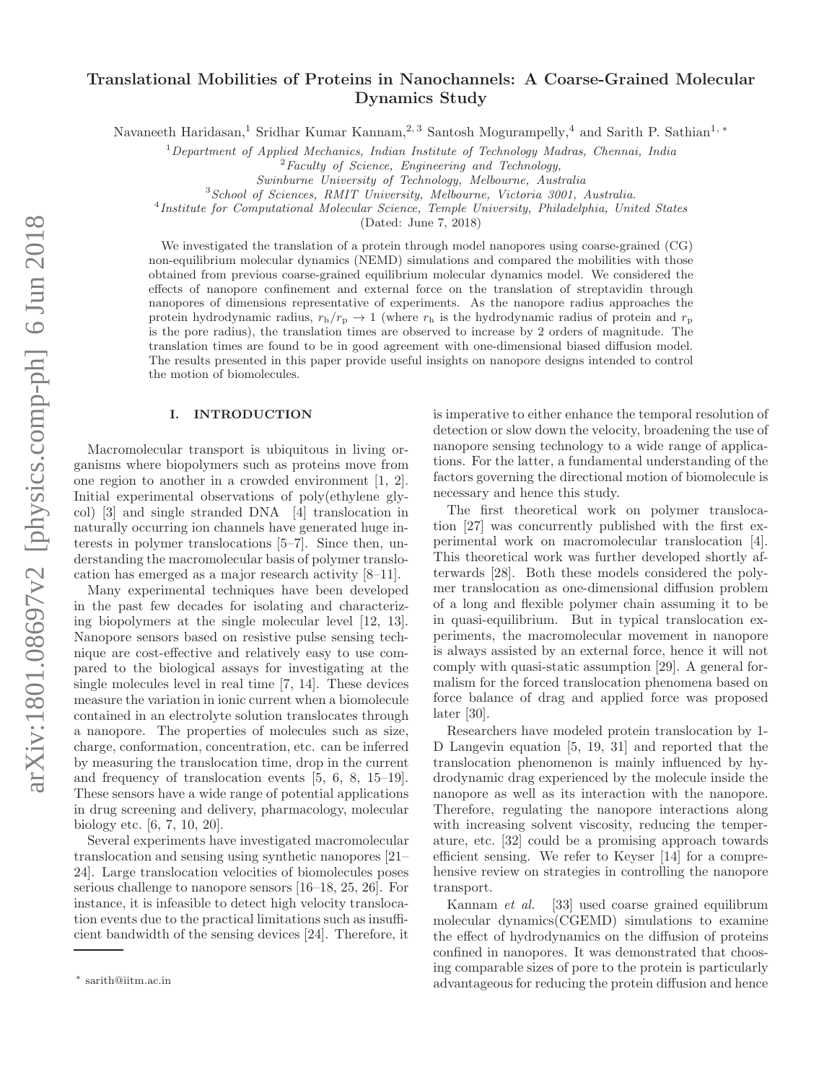# Translational Mobilities of Proteins in Nanochannels: A Coarse-Grained Molecular Dynamics Study

Navaneeth Haridasan,<sup>1</sup> Sridhar Kumar Kannam,<sup>2, 3</sup> Santosh Mogurampelly,<sup>4</sup> and Sarith P. Sathian<sup>1,</sup> \*

<sup>1</sup>*Department of Applied Mechanics, Indian Institute of Technology Madras, Chennai, India*

<sup>2</sup>*Faculty of Science, Engineering and Technology,*

*Swinburne University of Technology, Melbourne, Australia*

<sup>3</sup>*School of Sciences, RMIT University, Melbourne, Victoria 3001, Australia.*

4 *Institute for Computational Molecular Science, Temple University, Philadelphia, United States*

(Dated: June 7, 2018)

We investigated the translation of a protein through model nanopores using coarse-grained (CG) non-equilibrium molecular dynamics (NEMD) simulations and compared the mobilities with those obtained from previous coarse-grained equilibrium molecular dynamics model. We considered the effects of nanopore confinement and external force on the translation of streptavidin through nanopores of dimensions representative of experiments. As the nanopore radius approaches the protein hydrodynamic radius,  $r_h/r_p \rightarrow 1$  (where  $r_h$  is the hydrodynamic radius of protein and  $r_p$ is the pore radius), the translation times are observed to increase by 2 orders of magnitude. The translation times are found to be in good agreement with one-dimensional biased diffusion model. The results presented in this paper provide useful insights on nanopore designs intended to control the motion of biomolecules.

### I. INTRODUCTION

Macromolecular transport is ubiquitous in living organisms where biopolymers such as proteins move from one region to another in a crowded environment [1, 2]. Initial experimental observations of poly(ethylene glycol) [3] and single stranded DNA [4] translocation in naturally occurring ion channels have generated huge interests in polymer translocations [5–7]. Since then, understanding the macromolecular basis of polymer translocation has emerged as a major research activity [8–11].

Many experimental techniques have been developed in the past few decades for isolating and characterizing biopolymers at the single molecular level [12, 13]. Nanopore sensors based on resistive pulse sensing technique are cost-effective and relatively easy to use compared to the biological assays for investigating at the single molecules level in real time [7, 14]. These devices measure the variation in ionic current when a biomolecule contained in an electrolyte solution translocates through a nanopore. The properties of molecules such as size, charge, conformation, concentration, etc. can be inferred by measuring the translocation time, drop in the current and frequency of translocation events [5, 6, 8, 15–19]. These sensors have a wide range of potential applications in drug screening and delivery, pharmacology, molecular biology etc. [6, 7, 10, 20].

Several experiments have investigated macromolecular translocation and sensing using synthetic nanopores [21– 24]. Large translocation velocities of biomolecules poses serious challenge to nanopore sensors [16–18, 25, 26]. For instance, it is infeasible to detect high velocity translocation events due to the practical limitations such as insufficient bandwidth of the sensing devices [24]. Therefore, it is imperative to either enhance the temporal resolution of detection or slow down the velocity, broadening the use of nanopore sensing technology to a wide range of applications. For the latter, a fundamental understanding of the factors governing the directional motion of biomolecule is necessary and hence this study.

The first theoretical work on polymer translocation [27] was concurrently published with the first experimental work on macromolecular translocation [4]. This theoretical work was further developed shortly afterwards [28]. Both these models considered the polymer translocation as one-dimensional diffusion problem of a long and flexible polymer chain assuming it to be in quasi-equilibrium. But in typical translocation experiments, the macromolecular movement in nanopore is always assisted by an external force, hence it will not comply with quasi-static assumption [29]. A general formalism for the forced translocation phenomena based on force balance of drag and applied force was proposed later [30].

Researchers have modeled protein translocation by 1- D Langevin equation [5, 19, 31] and reported that the translocation phenomenon is mainly influenced by hydrodynamic drag experienced by the molecule inside the nanopore as well as its interaction with the nanopore. Therefore, regulating the nanopore interactions along with increasing solvent viscosity, reducing the temperature, etc. [32] could be a promising approach towards efficient sensing. We refer to Keyser [14] for a comprehensive review on strategies in controlling the nanopore transport.

Kannam et al. [33] used coarse grained equilibrum molecular dynamics(CGEMD) simulations to examine the effect of hydrodynamics on the diffusion of proteins confined in nanopores. It was demonstrated that choosing comparable sizes of pore to the protein is particularly advantageous for reducing the protein diffusion and hence

<sup>∗</sup> sarith@iitm.ac.in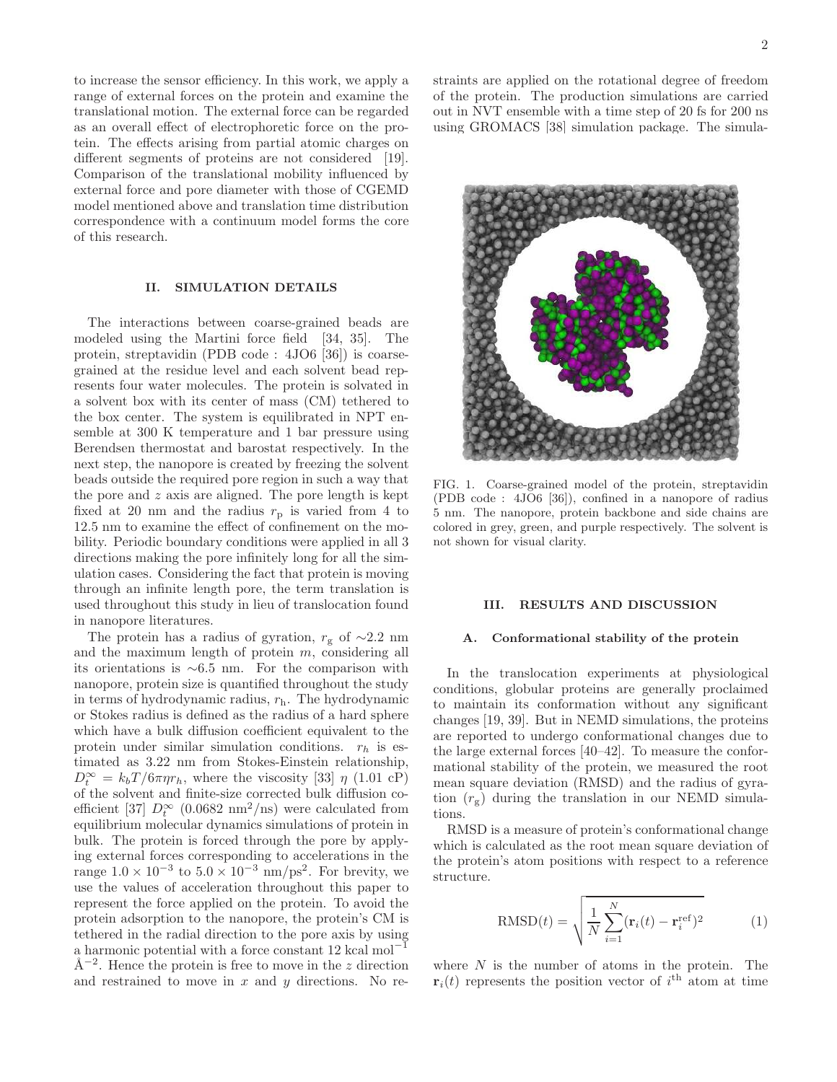to increase the sensor efficiency. In this work, we apply a range of external forces on the protein and examine the translational motion. The external force can be regarded as an overall effect of electrophoretic force on the protein. The effects arising from partial atomic charges on different segments of proteins are not considered [19]. Comparison of the translational mobility influenced by external force and pore diameter with those of CGEMD model mentioned above and translation time distribution correspondence with a continuum model forms the core of this research.

# II. SIMULATION DETAILS

The interactions between coarse-grained beads are modeled using the Martini force field [34, 35]. The protein, streptavidin (PDB code : 4JO6 [36]) is coarsegrained at the residue level and each solvent bead represents four water molecules. The protein is solvated in a solvent box with its center of mass (CM) tethered to the box center. The system is equilibrated in NPT ensemble at 300 K temperature and 1 bar pressure using Berendsen thermostat and barostat respectively. In the next step, the nanopore is created by freezing the solvent beads outside the required pore region in such a way that the pore and  $z$  axis are aligned. The pore length is kept fixed at 20 nm and the radius  $r_p$  is varied from 4 to 12.5 nm to examine the effect of confinement on the mobility. Periodic boundary conditions were applied in all 3 directions making the pore infinitely long for all the simulation cases. Considering the fact that protein is moving through an infinite length pore, the term translation is used throughout this study in lieu of translocation found in nanopore literatures.

The protein has a radius of gyration,  $r_g$  of ∼2.2 nm and the maximum length of protein  $m$ , considering all its orientations is ∼6.5 nm. For the comparison with nanopore, protein size is quantified throughout the study in terms of hydrodynamic radius,  $r<sub>h</sub>$ . The hydrodynamic or Stokes radius is defined as the radius of a hard sphere which have a bulk diffusion coefficient equivalent to the protein under similar simulation conditions.  $r_h$  is estimated as 3.22 nm from Stokes-Einstein relationship,  $D_t^{\infty} = k_b T / 6 \pi \eta r_h$ , where the viscosity [33]  $\eta$  (1.01 cP) of the solvent and finite-size corrected bulk diffusion coefficient [37]  $D_t^{\infty}$  (0.0682 nm<sup>2</sup>/ns) were calculated from equilibrium molecular dynamics simulations of protein in bulk. The protein is forced through the pore by applying external forces corresponding to accelerations in the range  $1.0 \times 10^{-3}$  to  $5.0 \times 10^{-3}$  nm/ps<sup>2</sup>. For brevity, we use the values of acceleration throughout this paper to represent the force applied on the protein. To avoid the protein adsorption to the nanopore, the protein's CM is tethered in the radial direction to the pore axis by using a harmonic potential with a force constant  $12 \text{ kcal mol}^{-1}$  $\AA^{-2}$ . Hence the protein is free to move in the z direction and restrained to move in  $x$  and  $y$  directions. No restraints are applied on the rotational degree of freedom of the protein. The production simulations are carried out in NVT ensemble with a time step of 20 fs for 200 ns using GROMACS [38] simulation package. The simula-



FIG. 1. Coarse-grained model of the protein, streptavidin (PDB code : 4JO6 [36]), confined in a nanopore of radius 5 nm. The nanopore, protein backbone and side chains are colored in grey, green, and purple respectively. The solvent is not shown for visual clarity.

## III. RESULTS AND DISCUSSION

# A. Conformational stability of the protein

In the translocation experiments at physiological conditions, globular proteins are generally proclaimed to maintain its conformation without any significant changes [19, 39]. But in NEMD simulations, the proteins are reported to undergo conformational changes due to the large external forces [40–42]. To measure the conformational stability of the protein, we measured the root mean square deviation (RMSD) and the radius of gyration  $(r_g)$  during the translation in our NEMD simulations.

RMSD is a measure of protein's conformational change which is calculated as the root mean square deviation of the protein's atom positions with respect to a reference structure.

$$
RMSD(t) = \sqrt{\frac{1}{N} \sum_{i=1}^{N} (\mathbf{r}_i(t) - \mathbf{r}_i^{\text{ref}})^2}
$$
(1)

where  $N$  is the number of atoms in the protein. The  $\mathbf{r}_i(t)$  represents the position vector of i<sup>th</sup> atom at time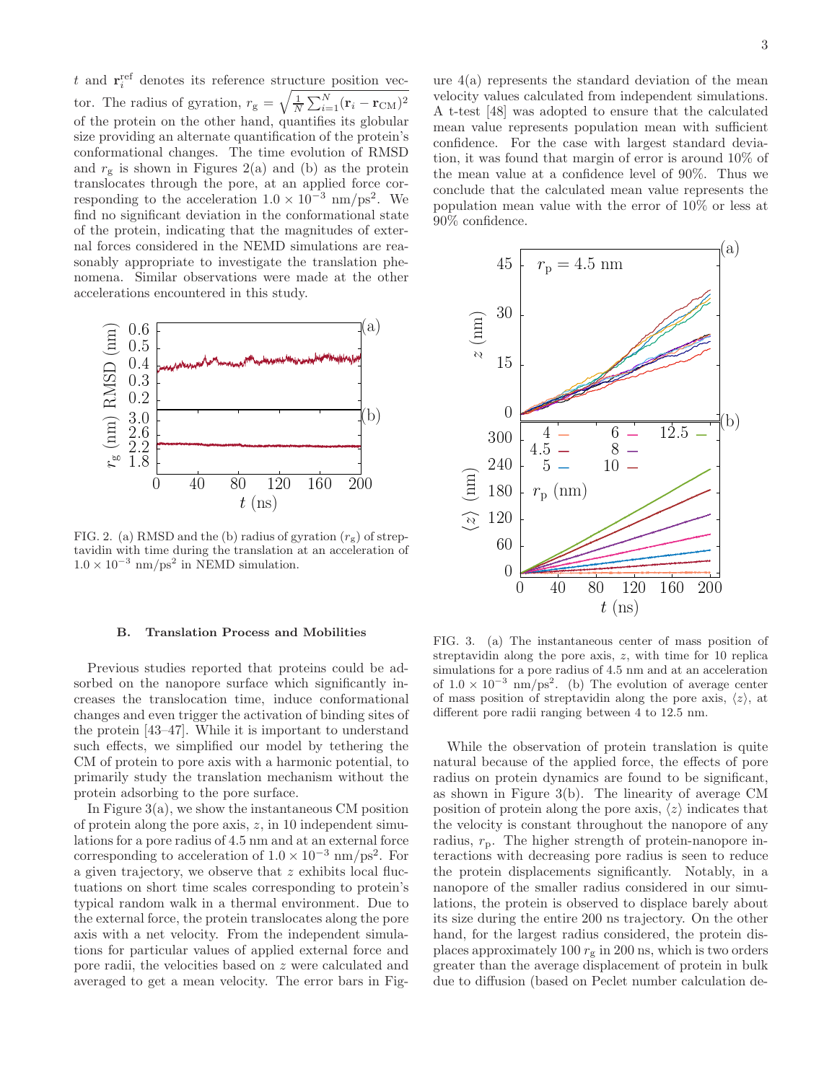$t$  and  $\mathbf{r}^{\text{ref}}_i$  denotes its reference structure position vector. The radius of gyration,  $r_g = \sqrt{\frac{1}{N} \sum_{i=1}^{N} (\mathbf{r}_i - \mathbf{r}_{\text{CM}})^2}$ of the protein on the other hand, quantifies its globular size providing an alternate quantification of the protein's conformational changes. The time evolution of RMSD and  $r_g$  is shown in Figures 2(a) and (b) as the protein translocates through the pore, at an applied force corresponding to the acceleration  $1.0 \times 10^{-3}$  nm/ps<sup>2</sup>. We find no significant deviation in the conformational state of the protein, indicating that the magnitudes of external forces considered in the NEMD simulations are reasonably appropriate to investigate the translation phenomena. Similar observations were made at the other accelerations encountered in this study.



FIG. 2. (a) RMSD and the (b) radius of gyration  $(r_g)$  of streptavidin with time during the translation at an acceleration of  $1.0 \times 10^{-3}$  nm/ps<sup>2</sup> in NEMD simulation.

### B. Translation Process and Mobilities

Previous studies reported that proteins could be adsorbed on the nanopore surface which significantly increases the translocation time, induce conformational changes and even trigger the activation of binding sites of the protein [43–47]. While it is important to understand such effects, we simplified our model by tethering the CM of protein to pore axis with a harmonic potential, to primarily study the translation mechanism without the protein adsorbing to the pore surface.

In Figure  $3(a)$ , we show the instantaneous CM position of protein along the pore axis,  $z$ , in 10 independent simulations for a pore radius of 4.5 nm and at an external force corresponding to acceleration of  $1.0 \times 10^{-3}$  nm/ps<sup>2</sup>. For a given trajectory, we observe that z exhibits local fluctuations on short time scales corresponding to protein's typical random walk in a thermal environment. Due to the external force, the protein translocates along the pore axis with a net velocity. From the independent simulations for particular values of applied external force and pore radii, the velocities based on z were calculated and averaged to get a mean velocity. The error bars in Fig3

ure  $4(a)$  represents the standard deviation of the mean velocity values calculated from independent simulations. A t-test [48] was adopted to ensure that the calculated mean value represents population mean with sufficient confidence. For the case with largest standard deviation, it was found that margin of error is around 10% of the mean value at a confidence level of 90%. Thus we conclude that the calculated mean value represents the population mean value with the error of 10% or less at 90% confidence.



FIG. 3. (a) The instantaneous center of mass position of streptavidin along the pore axis, z, with time for 10 replica simulations for a pore radius of 4.5 nm and at an acceleration of  $1.0 \times 10^{-3}$  nm/ps<sup>2</sup>. (b) The evolution of average center of mass position of streptavidin along the pore axis,  $\langle z \rangle$ , at different pore radii ranging between 4 to 12.5 nm.

While the observation of protein translation is quite natural because of the applied force, the effects of pore radius on protein dynamics are found to be significant, as shown in Figure 3(b). The linearity of average CM position of protein along the pore axis,  $\langle z \rangle$  indicates that the velocity is constant throughout the nanopore of any radius,  $r_p$ . The higher strength of protein-nanopore interactions with decreasing pore radius is seen to reduce the protein displacements significantly. Notably, in a nanopore of the smaller radius considered in our simulations, the protein is observed to displace barely about its size during the entire 200 ns trajectory. On the other hand, for the largest radius considered, the protein displaces approximately 100  $r_g$  in 200 ns, which is two orders greater than the average displacement of protein in bulk due to diffusion (based on Peclet number calculation de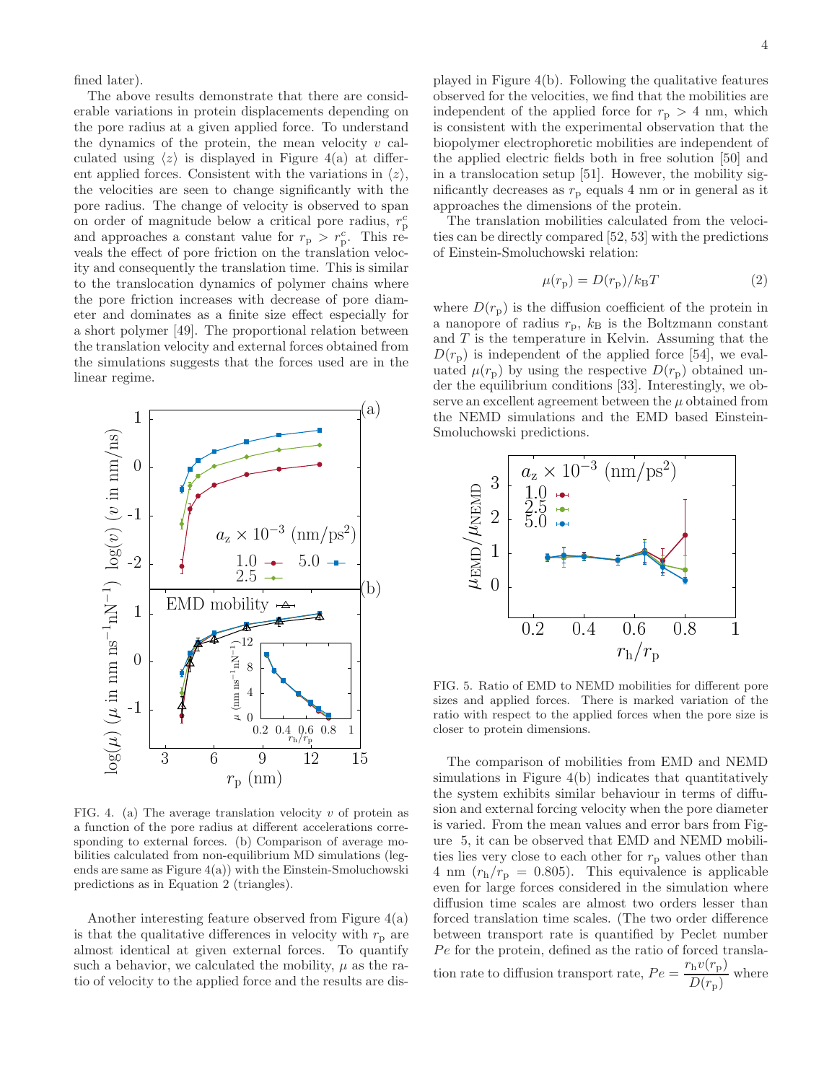fined later).

The above results demonstrate that there are considerable variations in protein displacements depending on the pore radius at a given applied force. To understand the dynamics of the protein, the mean velocity  $v$  calculated using  $\langle z \rangle$  is displayed in Figure 4(a) at different applied forces. Consistent with the variations in  $\langle z \rangle$ , the velocities are seen to change significantly with the pore radius. The change of velocity is observed to span on order of magnitude below a critical pore radius,  $r_{\rm p}^c$ and approaches a constant value for  $r_{\rm p} > r_{\rm p}^c$ . This reveals the effect of pore friction on the translation velocity and consequently the translation time. This is similar to the translocation dynamics of polymer chains where the pore friction increases with decrease of pore diameter and dominates as a finite size effect especially for a short polymer [49]. The proportional relation between the translation velocity and external forces obtained from the simulations suggests that the forces used are in the linear regime.



FIG. 4. (a) The average translation velocity  $v$  of protein as a function of the pore radius at different accelerations corresponding to external forces. (b) Comparison of average mobilities calculated from non-equilibrium MD simulations (legends are same as Figure 4(a)) with the Einstein-Smoluchowski predictions as in Equation 2 (triangles).

Another interesting feature observed from Figure 4(a) is that the qualitative differences in velocity with  $r_p$  are almost identical at given external forces. To quantify such a behavior, we calculated the mobility,  $\mu$  as the ratio of velocity to the applied force and the results are dis-

played in Figure 4(b). Following the qualitative features observed for the velocities, we find that the mobilities are independent of the applied force for  $r_p > 4$  nm, which is consistent with the experimental observation that the biopolymer electrophoretic mobilities are independent of the applied electric fields both in free solution [50] and in a translocation setup [51]. However, the mobility significantly decreases as  $r_{\rm p}$  equals 4 nm or in general as it approaches the dimensions of the protein.

The translation mobilities calculated from the velocities can be directly compared [52, 53] with the predictions of Einstein-Smoluchowski relation:

$$
\mu(r_{\rm p}) = D(r_{\rm p})/k_{\rm B}T\tag{2}
$$

where  $D(r_p)$  is the diffusion coefficient of the protein in a nanopore of radius  $r_{\rm p}$ ,  $k_{\rm B}$  is the Boltzmann constant and  $T$  is the temperature in Kelvin. Assuming that the  $D(r_p)$  is independent of the applied force [54], we evaluated  $\mu(r_{\rm p})$  by using the respective  $D(r_{\rm p})$  obtained under the equilibrium conditions [33]. Interestingly, we observe an excellent agreement between the  $\mu$  obtained from the NEMD simulations and the EMD based Einstein-Smoluchowski predictions.



FIG. 5. Ratio of EMD to NEMD mobilities for different pore sizes and applied forces. There is marked variation of the ratio with respect to the applied forces when the pore size is closer to protein dimensions.

The comparison of mobilities from EMD and NEMD simulations in Figure 4(b) indicates that quantitatively the system exhibits similar behaviour in terms of diffusion and external forcing velocity when the pore diameter is varied. From the mean values and error bars from Figure 5, it can be observed that EMD and NEMD mobilities lies very close to each other for  $r_p$  values other than 4 nm  $(r_h/r_p = 0.805)$ . This equivalence is applicable even for large forces considered in the simulation where diffusion time scales are almost two orders lesser than forced translation time scales. (The two order difference between transport rate is quantified by Peclet number  $Pe$  for the protein, defined as the ratio of forced translation rate to diffusion transport rate,  $Pe = \frac{r_h v(r_p)}{D(r_p)}$  $\frac{\ln c(r) p)}{D(r_p)}$  where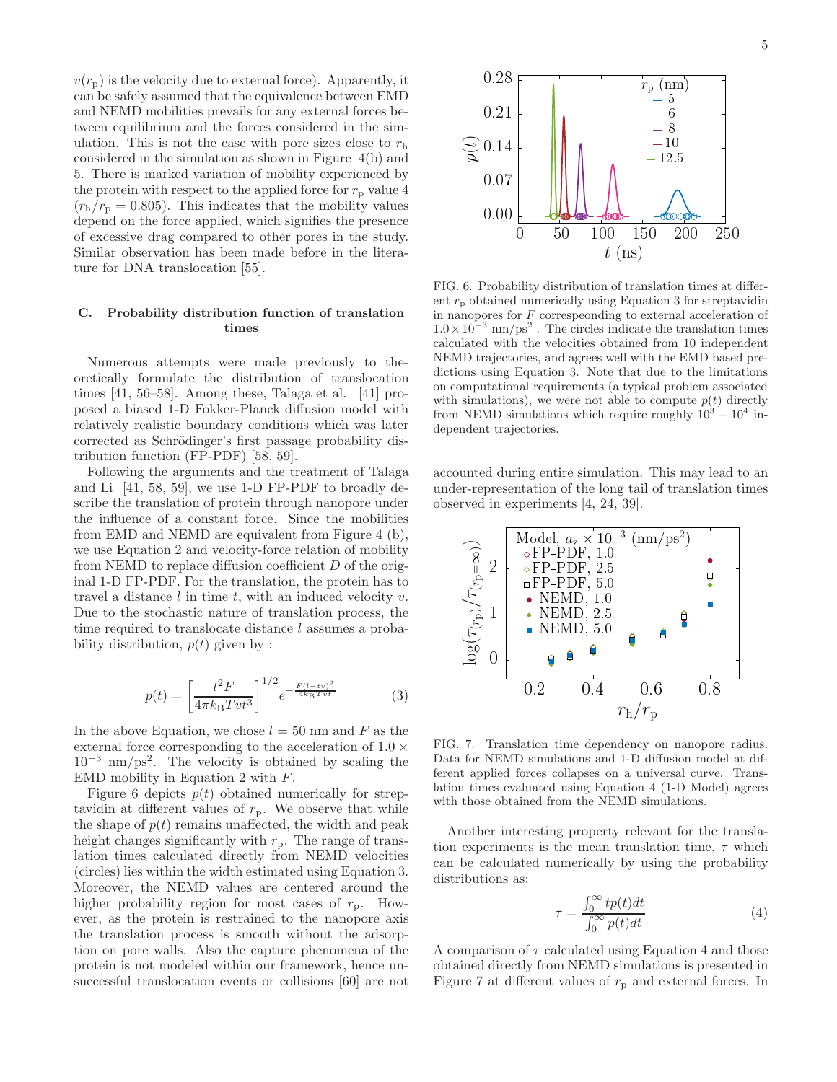5

 $v(r_{\rm p})$  is the velocity due to external force). Apparently, it can be safely assumed that the equivalence between EMD and NEMD mobilities prevails for any external forces between equilibrium and the forces considered in the simulation. This is not the case with pore sizes close to  $r<sub>h</sub>$ considered in the simulation as shown in Figure 4(b) and 5. There is marked variation of mobility experienced by the protein with respect to the applied force for  $r_p$  value 4  $(r_h/r_p = 0.805)$ . This indicates that the mobility values depend on the force applied, which signifies the presence of excessive drag compared to other pores in the study. Similar observation has been made before in the literature for DNA translocation [55].

## C. Probability distribution function of translation times

Numerous attempts were made previously to theoretically formulate the distribution of translocation times [41, 56–58]. Among these, Talaga et al. [41] proposed a biased 1-D Fokker-Planck diffusion model with relatively realistic boundary conditions which was later corrected as Schrödinger's first passage probability distribution function (FP-PDF) [58, 59].

Following the arguments and the treatment of Talaga and Li [41, 58, 59], we use 1-D FP-PDF to broadly describe the translation of protein through nanopore under the influence of a constant force. Since the mobilities from EMD and NEMD are equivalent from Figure 4 (b), we use Equation 2 and velocity-force relation of mobility from NEMD to replace diffusion coefficient D of the original 1-D FP-PDF. For the translation, the protein has to travel a distance  $l$  in time  $t$ , with an induced velocity  $v$ . Due to the stochastic nature of translation process, the time required to translocate distance l assumes a probability distribution,  $p(t)$  given by :

$$
p(t) = \left[\frac{l^2 F}{4\pi k_B T vt^3}\right]^{1/2} e^{-\frac{F(l-tv)^2}{4k_B T vt}}
$$
(3)

In the above Equation, we chose  $l = 50$  nm and F as the external force corresponding to the acceleration of  $1.0 \times$ 10<sup>−</sup><sup>3</sup> nm/ps<sup>2</sup> . The velocity is obtained by scaling the EMD mobility in Equation 2 with F.

Figure 6 depicts  $p(t)$  obtained numerically for streptavidin at different values of  $r_p$ . We observe that while the shape of  $p(t)$  remains unaffected, the width and peak height changes significantly with  $r_p$ . The range of translation times calculated directly from NEMD velocities (circles) lies within the width estimated using Equation 3. Moreover, the NEMD values are centered around the higher probability region for most cases of  $r_p$ . However, as the protein is restrained to the nanopore axis the translation process is smooth without the adsorption on pore walls. Also the capture phenomena of the protein is not modeled within our framework, hence unsuccessful translocation events or collisions [60] are not



FIG. 6. Probability distribution of translation times at different  $r_p$  obtained numerically using Equation 3 for streptavidin in nanopores for  $F$  correspeonding to external acceleration of  $1.0 \times 10^{-3}$  nm/ps<sup>2</sup>. The circles indicate the translation times calculated with the velocities obtained from 10 independent NEMD trajectories, and agrees well with the EMD based predictions using Equation 3. Note that due to the limitations on computational requirements (a typical problem associated with simulations), we were not able to compute  $p(t)$  directly from NEMD simulations which require roughly  $10^3 - 10^4$  independent trajectories.

accounted during entire simulation. This may lead to an under-representation of the long tail of translation times observed in experiments [4, 24, 39].



FIG. 7. Translation time dependency on nanopore radius. Data for NEMD simulations and 1-D diffusion model at different applied forces collapses on a universal curve. Translation times evaluated using Equation 4 (1-D Model) agrees with those obtained from the NEMD simulations.

Another interesting property relevant for the translation experiments is the mean translation time,  $\tau$  which can be calculated numerically by using the probability distributions as:

$$
\tau = \frac{\int_0^\infty t p(t) dt}{\int_0^\infty p(t) dt} \tag{4}
$$

A comparison of  $\tau$  calculated using Equation 4 and those obtained directly from NEMD simulations is presented in Figure 7 at different values of  $r_{\rm p}$  and external forces. In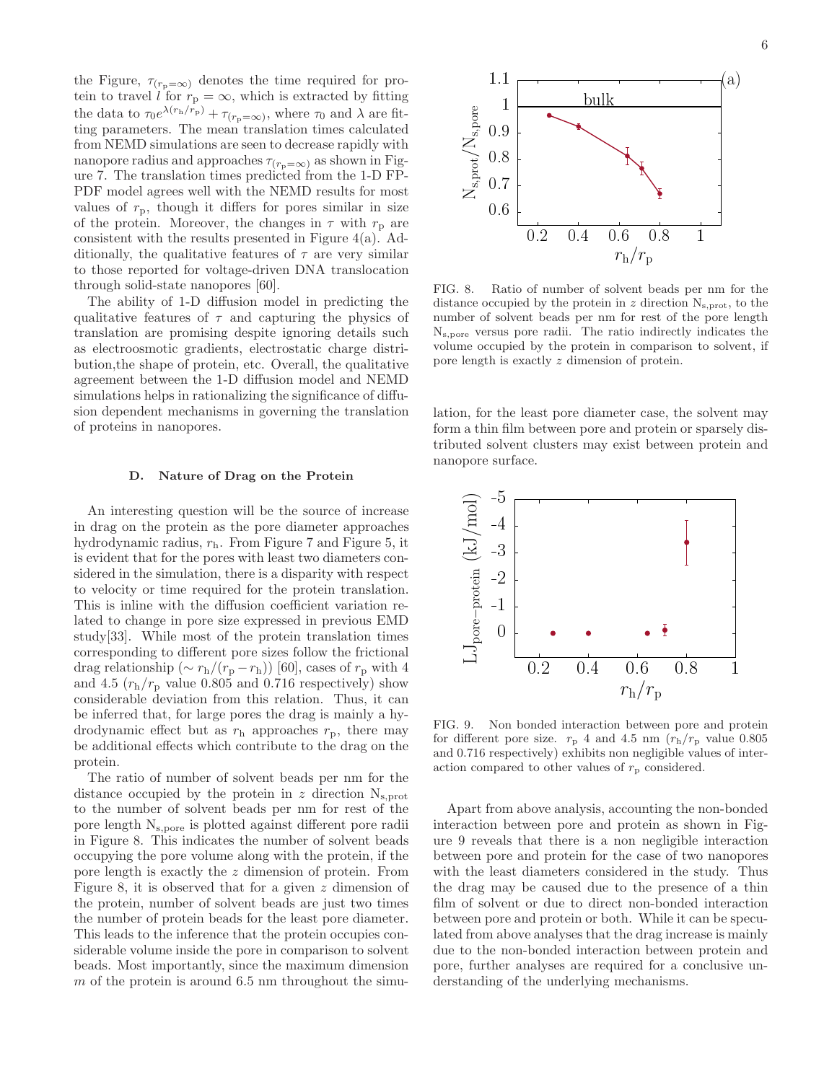the Figure,  $\tau_{(r_p=\infty)}$  denotes the time required for protein to travel l for  $r_p = \infty$ , which is extracted by fitting the data to  $\tau_0 e^{\lambda(r_{\rm h}/r_{\rm p})} + \tau_{(r_{\rm p}=\infty)}$ , where  $\tau_0$  and  $\lambda$  are fitting parameters. The mean translation times calculated from NEMD simulations are seen to decrease rapidly with nanopore radius and approaches  $\tau_{(r_{p}=\infty)}$  as shown in Figure 7. The translation times predicted from the 1-D FP-PDF model agrees well with the NEMD results for most values of  $r_p$ , though it differs for pores similar in size of the protein. Moreover, the changes in  $\tau$  with  $r_p$  are consistent with the results presented in Figure 4(a). Additionally, the qualitative features of  $\tau$  are very similar to those reported for voltage-driven DNA translocation through solid-state nanopores [60].

The ability of 1-D diffusion model in predicting the qualitative features of  $\tau$  and capturing the physics of translation are promising despite ignoring details such as electroosmotic gradients, electrostatic charge distribution,the shape of protein, etc. Overall, the qualitative agreement between the 1-D diffusion model and NEMD simulations helps in rationalizing the significance of diffusion dependent mechanisms in governing the translation of proteins in nanopores.

#### D. Nature of Drag on the Protein

An interesting question will be the source of increase in drag on the protein as the pore diameter approaches hydrodynamic radius, rh. From Figure 7 and Figure 5, it is evident that for the pores with least two diameters considered in the simulation, there is a disparity with respect to velocity or time required for the protein translation. This is inline with the diffusion coefficient variation related to change in pore size expressed in previous EMD study[33]. While most of the protein translation times corresponding to different pore sizes follow the frictional drag relationship ( $\sim r_h/(r_p - r_h)$ ) [60], cases of  $r_p$  with 4 and 4.5  $(r_h/r_p)$  value 0.805 and 0.716 respectively) show considerable deviation from this relation. Thus, it can be inferred that, for large pores the drag is mainly a hydrodynamic effect but as  $r<sub>h</sub>$  approaches  $r<sub>p</sub>$ , there may be additional effects which contribute to the drag on the protein.

The ratio of number of solvent beads per nm for the distance occupied by the protein in  $z$  direction  $N_{s,prot}$ to the number of solvent beads per nm for rest of the pore length N<sup>s</sup>,pore is plotted against different pore radii in Figure 8. This indicates the number of solvent beads occupying the pore volume along with the protein, if the pore length is exactly the z dimension of protein. From Figure 8, it is observed that for a given z dimension of the protein, number of solvent beads are just two times the number of protein beads for the least pore diameter. This leads to the inference that the protein occupies considerable volume inside the pore in comparison to solvent beads. Most importantly, since the maximum dimension m of the protein is around  $6.5 \text{ nm}$  throughout the simu-



FIG. 8. Ratio of number of solvent beads per nm for the distance occupied by the protein in  $z$  direction  $N_{s,prot}$ , to the number of solvent beads per nm for rest of the pore length N<sup>s</sup>,pore versus pore radii. The ratio indirectly indicates the volume occupied by the protein in comparison to solvent, if pore length is exactly z dimension of protein.

lation, for the least pore diameter case, the solvent may form a thin film between pore and protein or sparsely distributed solvent clusters may exist between protein and nanopore surface.



FIG. 9. Non bonded interaction between pore and protein for different pore size.  $r_{\rm p}$  4 and 4.5 nm  $(r_{\rm h}/r_{\rm p})$  value 0.805 and 0.716 respectively) exhibits non negligible values of interaction compared to other values of  $r_p$  considered.

Apart from above analysis, accounting the non-bonded interaction between pore and protein as shown in Figure 9 reveals that there is a non negligible interaction between pore and protein for the case of two nanopores with the least diameters considered in the study. Thus the drag may be caused due to the presence of a thin film of solvent or due to direct non-bonded interaction between pore and protein or both. While it can be speculated from above analyses that the drag increase is mainly due to the non-bonded interaction between protein and pore, further analyses are required for a conclusive understanding of the underlying mechanisms.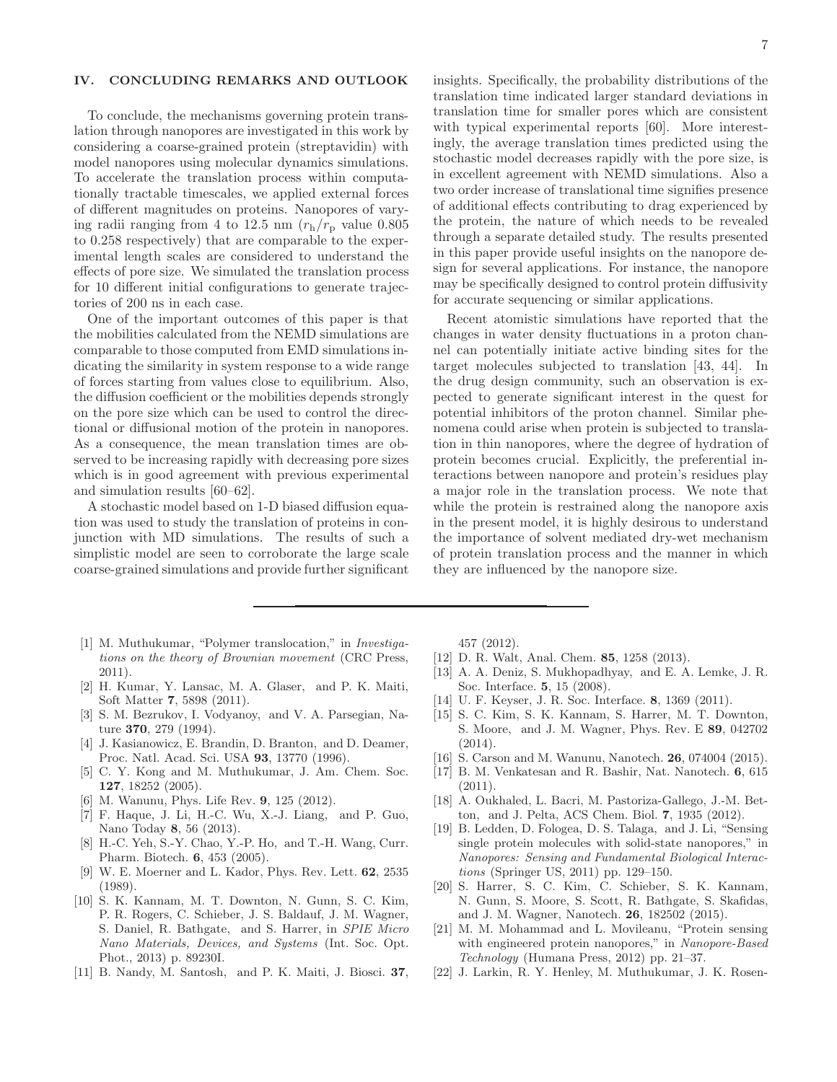# IV. CONCLUDING REMARKS AND OUTLOOK

To conclude, the mechanisms governing protein translation through nanopores are investigated in this work by considering a coarse-grained protein (streptavidin) with model nanopores using molecular dynamics simulations. To accelerate the translation process within computationally tractable timescales, we applied external forces of different magnitudes on proteins. Nanopores of varying radii ranging from 4 to 12.5 nm  $(r_h/r_p)$  value 0.805 to 0.258 respectively) that are comparable to the experimental length scales are considered to understand the effects of pore size. We simulated the translation process for 10 different initial configurations to generate trajectories of 200 ns in each case.

One of the important outcomes of this paper is that the mobilities calculated from the NEMD simulations are comparable to those computed from EMD simulations indicating the similarity in system response to a wide range of forces starting from values close to equilibrium. Also, the diffusion coefficient or the mobilities depends strongly on the pore size which can be used to control the directional or diffusional motion of the protein in nanopores. As a consequence, the mean translation times are observed to be increasing rapidly with decreasing pore sizes which is in good agreement with previous experimental and simulation results [60–62].

A stochastic model based on 1-D biased diffusion equation was used to study the translation of proteins in conjunction with MD simulations. The results of such a simplistic model are seen to corroborate the large scale coarse-grained simulations and provide further significant

- [1] M. Muthukumar, "Polymer translocation," in *Investigations on the theory of Brownian movement* (CRC Press, 2011).
- [2] H. Kumar, Y. Lansac, M. A. Glaser, and P. K. Maiti, Soft Matter 7, 5898 (2011).
- [3] S. M. Bezrukov, I. Vodyanoy, and V. A. Parsegian, Nature 370, 279 (1994).
- [4] J. Kasianowicz, E. Brandin, D. Branton, and D. Deamer, Proc. Natl. Acad. Sci. USA 93, 13770 (1996).
- [5] C. Y. Kong and M. Muthukumar, J. Am. Chem. Soc. 127, 18252 (2005).
- M. Wanunu, Phys. Life Rev. **9**, 125 (2012).
- [7] F. Haque, J. Li, H.-C. Wu, X.-J. Liang, and P. Guo, Nano Today 8, 56 (2013).
- [8] H.-C. Yeh, S.-Y. Chao, Y.-P. Ho, and T.-H. Wang, Curr. Pharm. Biotech. 6, 453 (2005).
- [9] W. E. Moerner and L. Kador, Phys. Rev. Lett. 62, 2535 (1989).
- [10] S. K. Kannam, M. T. Downton, N. Gunn, S. C. Kim, P. R. Rogers, C. Schieber, J. S. Baldauf, J. M. Wagner, S. Daniel, R. Bathgate, and S. Harrer, in *SPIE Micro Nano Materials, Devices, and Systems* (Int. Soc. Opt. Phot., 2013) p. 89230I.
- [11] B. Nandy, M. Santosh, and P. K. Maiti, J. Biosci. 37,

insights. Specifically, the probability distributions of the translation time indicated larger standard deviations in translation time for smaller pores which are consistent with typical experimental reports [60]. More interestingly, the average translation times predicted using the stochastic model decreases rapidly with the pore size, is in excellent agreement with NEMD simulations. Also a two order increase of translational time signifies presence of additional effects contributing to drag experienced by the protein, the nature of which needs to be revealed through a separate detailed study. The results presented in this paper provide useful insights on the nanopore design for several applications. For instance, the nanopore may be specifically designed to control protein diffusivity for accurate sequencing or similar applications.

Recent atomistic simulations have reported that the changes in water density fluctuations in a proton channel can potentially initiate active binding sites for the target molecules subjected to translation [43, 44]. In the drug design community, such an observation is expected to generate significant interest in the quest for potential inhibitors of the proton channel. Similar phenomena could arise when protein is subjected to translation in thin nanopores, where the degree of hydration of protein becomes crucial. Explicitly, the preferential interactions between nanopore and protein's residues play a major role in the translation process. We note that while the protein is restrained along the nanopore axis in the present model, it is highly desirous to understand the importance of solvent mediated dry-wet mechanism of protein translation process and the manner in which they are influenced by the nanopore size.

457 (2012).

- [12] D. R. Walt, Anal. Chem. 85, 1258 (2013).
- [13] A. A. Deniz, S. Mukhopadhyay, and E. A. Lemke, J. R. Soc. Interface. 5, 15 (2008).
- [14] U. F. Keyser, J. R. Soc. Interface. 8, 1369 (2011).
- [15] S. C. Kim, S. K. Kannam, S. Harrer, M. T. Downton, S. Moore, and J. M. Wagner, Phys. Rev. E 89, 042702 (2014).
- [16] S. Carson and M. Wanunu, Nanotech. **26**, 074004 (2015).
- [17] B. M. Venkatesan and R. Bashir, Nat. Nanotech. 6, 615 (2011).
- [18] A. Oukhaled, L. Bacri, M. Pastoriza-Gallego, J.-M. Betton, and J. Pelta, ACS Chem. Biol. 7, 1935 (2012).
- [19] B. Ledden, D. Fologea, D. S. Talaga, and J. Li, "Sensing single protein molecules with solid-state nanopores," in *Nanopores: Sensing and Fundamental Biological Interactions* (Springer US, 2011) pp. 129–150.
- [20] S. Harrer, S. C. Kim, C. Schieber, S. K. Kannam, N. Gunn, S. Moore, S. Scott, R. Bathgate, S. Skafidas, and J. M. Wagner, Nanotech. 26, 182502 (2015).
- [21] M. M. Mohammad and L. Movileanu, "Protein sensing with engineered protein nanopores," in *Nanopore-Based Technology* (Humana Press, 2012) pp. 21–37.
- [22] J. Larkin, R. Y. Henley, M. Muthukumar, J. K. Rosen-